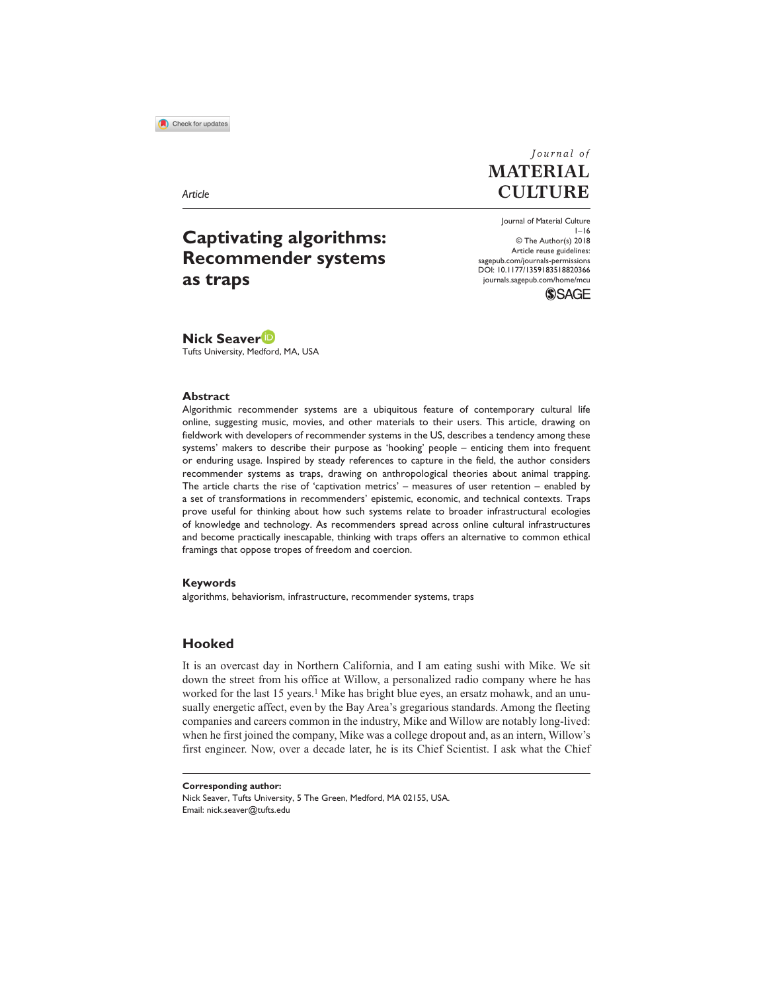

*Article*

# **Captivating algorithms: Recommender systems as traps**

*Journal o f* **MATERIAL CULTURE**

Journal of Material Culture  $1 - 16$ © The Author(s) 2018 Article reuse guidelines: [sagepub.com/journals-permissions](https://uk.sagepub.com/en-gb/journals-permissions) DOI: 10.1177/1359183518820366 [journals.sagepub.com/home/mcu](https://journals.sagepub.com/home/mcu) **SSAGE** 

## **Nick Seaver**

Tufts University, Medford, MA, USA

#### **Abstract**

Algorithmic recommender systems are a ubiquitous feature of contemporary cultural life online, suggesting music, movies, and other materials to their users. This article, drawing on fieldwork with developers of recommender systems in the US, describes a tendency among these systems' makers to describe their purpose as 'hooking' people – enticing them into frequent or enduring usage. Inspired by steady references to capture in the field, the author considers recommender systems as traps, drawing on anthropological theories about animal trapping. The article charts the rise of 'captivation metrics' – measures of user retention – enabled by a set of transformations in recommenders' epistemic, economic, and technical contexts. Traps prove useful for thinking about how such systems relate to broader infrastructural ecologies of knowledge and technology. As recommenders spread across online cultural infrastructures and become practically inescapable, thinking with traps offers an alternative to common ethical framings that oppose tropes of freedom and coercion.

#### **Keywords**

algorithms, behaviorism, infrastructure, recommender systems, traps

## **Hooked**

It is an overcast day in Northern California, and I am eating sushi with Mike. We sit down the street from his office at Willow, a personalized radio company where he has worked for the last 15 years.<sup>1</sup> Mike has bright blue eyes, an ersatz mohawk, and an unusually energetic affect, even by the Bay Area's gregarious standards. Among the fleeting companies and careers common in the industry, Mike and Willow are notably long-lived: when he first joined the company, Mike was a college dropout and, as an intern, Willow's first engineer. Now, over a decade later, he is its Chief Scientist. I ask what the Chief

**Corresponding author:** Nick Seaver, Tufts University, 5 The Green, Medford, MA 02155, USA. Email: [nick.seaver@tufts.edu](mailto:nick.seaver@tufts.edu)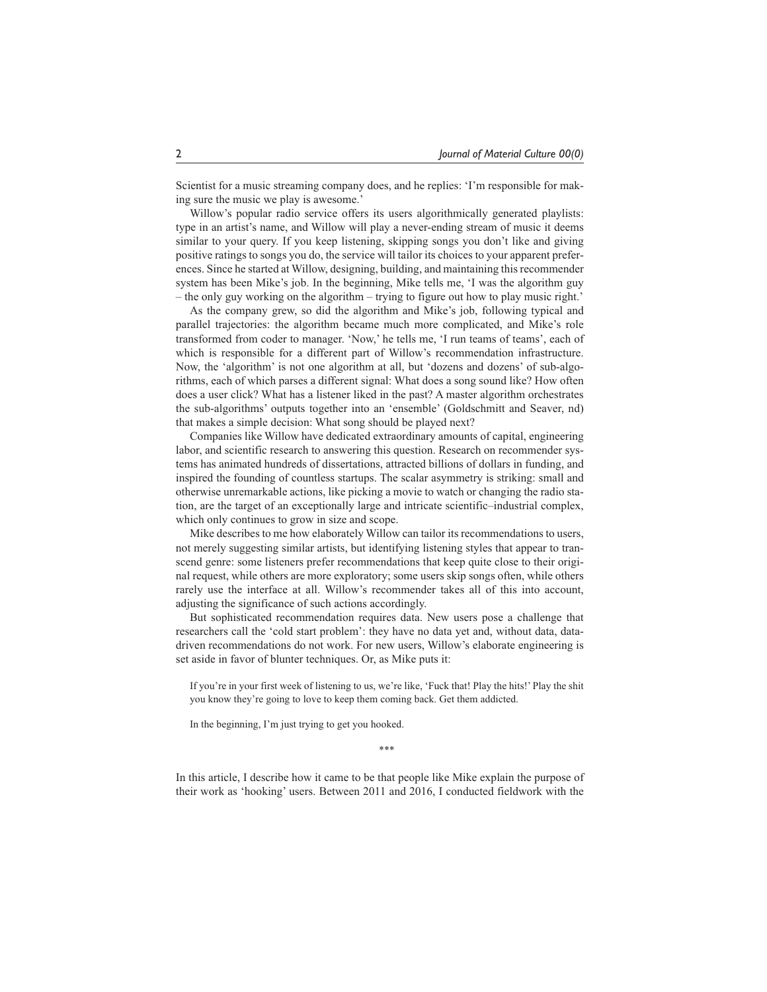Scientist for a music streaming company does, and he replies: 'I'm responsible for making sure the music we play is awesome.'

Willow's popular radio service offers its users algorithmically generated playlists: type in an artist's name, and Willow will play a never-ending stream of music it deems similar to your query. If you keep listening, skipping songs you don't like and giving positive ratings to songs you do, the service will tailor its choices to your apparent preferences. Since he started at Willow, designing, building, and maintaining this recommender system has been Mike's job. In the beginning, Mike tells me, 'I was the algorithm guy – the only guy working on the algorithm – trying to figure out how to play music right.'

As the company grew, so did the algorithm and Mike's job, following typical and parallel trajectories: the algorithm became much more complicated, and Mike's role transformed from coder to manager. 'Now,' he tells me, 'I run teams of teams', each of which is responsible for a different part of Willow's recommendation infrastructure. Now, the 'algorithm' is not one algorithm at all, but 'dozens and dozens' of sub-algorithms, each of which parses a different signal: What does a song sound like? How often does a user click? What has a listener liked in the past? A master algorithm orchestrates the sub-algorithms' outputs together into an 'ensemble' (Goldschmitt and Seaver, nd) that makes a simple decision: What song should be played next?

Companies like Willow have dedicated extraordinary amounts of capital, engineering labor, and scientific research to answering this question. Research on recommender systems has animated hundreds of dissertations, attracted billions of dollars in funding, and inspired the founding of countless startups. The scalar asymmetry is striking: small and otherwise unremarkable actions, like picking a movie to watch or changing the radio station, are the target of an exceptionally large and intricate scientific–industrial complex, which only continues to grow in size and scope.

Mike describes to me how elaborately Willow can tailor its recommendations to users, not merely suggesting similar artists, but identifying listening styles that appear to transcend genre: some listeners prefer recommendations that keep quite close to their original request, while others are more exploratory; some users skip songs often, while others rarely use the interface at all. Willow's recommender takes all of this into account, adjusting the significance of such actions accordingly.

But sophisticated recommendation requires data. New users pose a challenge that researchers call the 'cold start problem': they have no data yet and, without data, datadriven recommendations do not work. For new users, Willow's elaborate engineering is set aside in favor of blunter techniques. Or, as Mike puts it:

If you're in your first week of listening to us, we're like, 'Fuck that! Play the hits!' Play the shit you know they're going to love to keep them coming back. Get them addicted.

In the beginning, I'm just trying to get you hooked.

\*\*\*

In this article, I describe how it came to be that people like Mike explain the purpose of their work as 'hooking' users. Between 2011 and 2016, I conducted fieldwork with the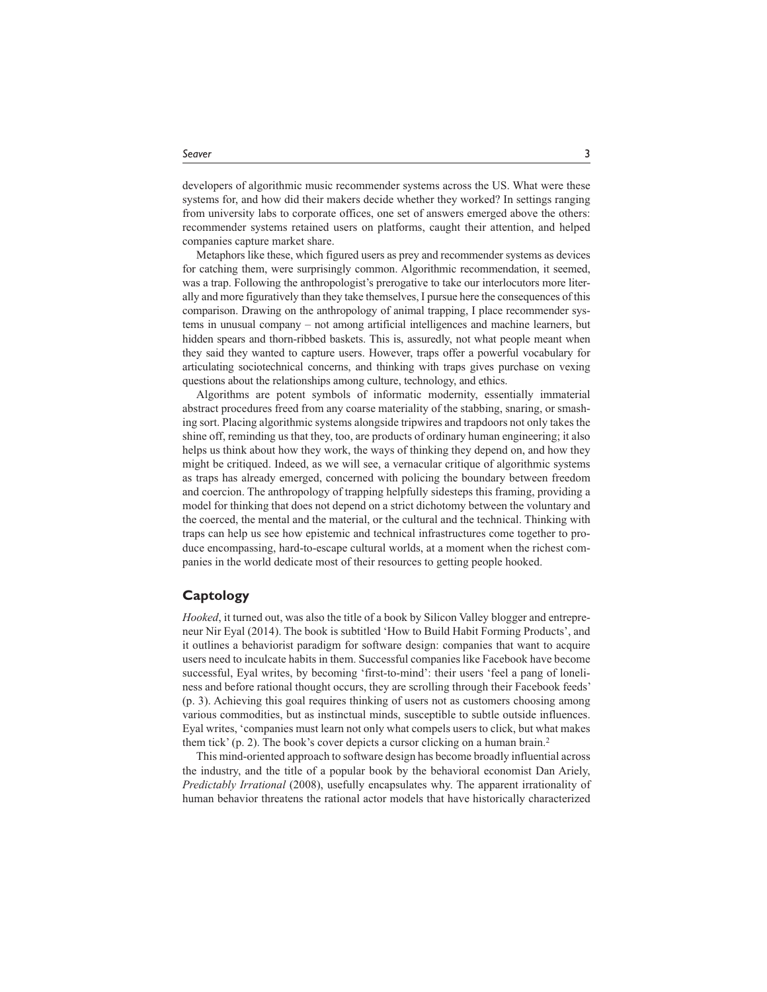developers of algorithmic music recommender systems across the US. What were these systems for, and how did their makers decide whether they worked? In settings ranging from university labs to corporate offices, one set of answers emerged above the others: recommender systems retained users on platforms, caught their attention, and helped companies capture market share.

Metaphors like these, which figured users as prey and recommender systems as devices for catching them, were surprisingly common. Algorithmic recommendation, it seemed, was a trap. Following the anthropologist's prerogative to take our interlocutors more literally and more figuratively than they take themselves, I pursue here the consequences of this comparison. Drawing on the anthropology of animal trapping, I place recommender systems in unusual company – not among artificial intelligences and machine learners, but hidden spears and thorn-ribbed baskets. This is, assuredly, not what people meant when they said they wanted to capture users. However, traps offer a powerful vocabulary for articulating sociotechnical concerns, and thinking with traps gives purchase on vexing questions about the relationships among culture, technology, and ethics.

Algorithms are potent symbols of informatic modernity, essentially immaterial abstract procedures freed from any coarse materiality of the stabbing, snaring, or smashing sort. Placing algorithmic systems alongside tripwires and trapdoors not only takes the shine off, reminding us that they, too, are products of ordinary human engineering; it also helps us think about how they work, the ways of thinking they depend on, and how they might be critiqued. Indeed, as we will see, a vernacular critique of algorithmic systems as traps has already emerged, concerned with policing the boundary between freedom and coercion. The anthropology of trapping helpfully sidesteps this framing, providing a model for thinking that does not depend on a strict dichotomy between the voluntary and the coerced, the mental and the material, or the cultural and the technical. Thinking with traps can help us see how epistemic and technical infrastructures come together to produce encompassing, hard-to-escape cultural worlds, at a moment when the richest companies in the world dedicate most of their resources to getting people hooked.

## **Captology**

*Hooked*, it turned out, was also the title of a book by Silicon Valley blogger and entrepreneur Nir Eyal (2014). The book is subtitled 'How to Build Habit Forming Products', and it outlines a behaviorist paradigm for software design: companies that want to acquire users need to inculcate habits in them. Successful companies like Facebook have become successful, Eyal writes, by becoming 'first-to-mind': their users 'feel a pang of loneliness and before rational thought occurs, they are scrolling through their Facebook feeds' (p. 3). Achieving this goal requires thinking of users not as customers choosing among various commodities, but as instinctual minds, susceptible to subtle outside influences. Eyal writes, 'companies must learn not only what compels users to click, but what makes them tick' (p. 2). The book's cover depicts a cursor clicking on a human brain.2

This mind-oriented approach to software design has become broadly influential across the industry, and the title of a popular book by the behavioral economist Dan Ariely, *Predictably Irrational* (2008), usefully encapsulates why. The apparent irrationality of human behavior threatens the rational actor models that have historically characterized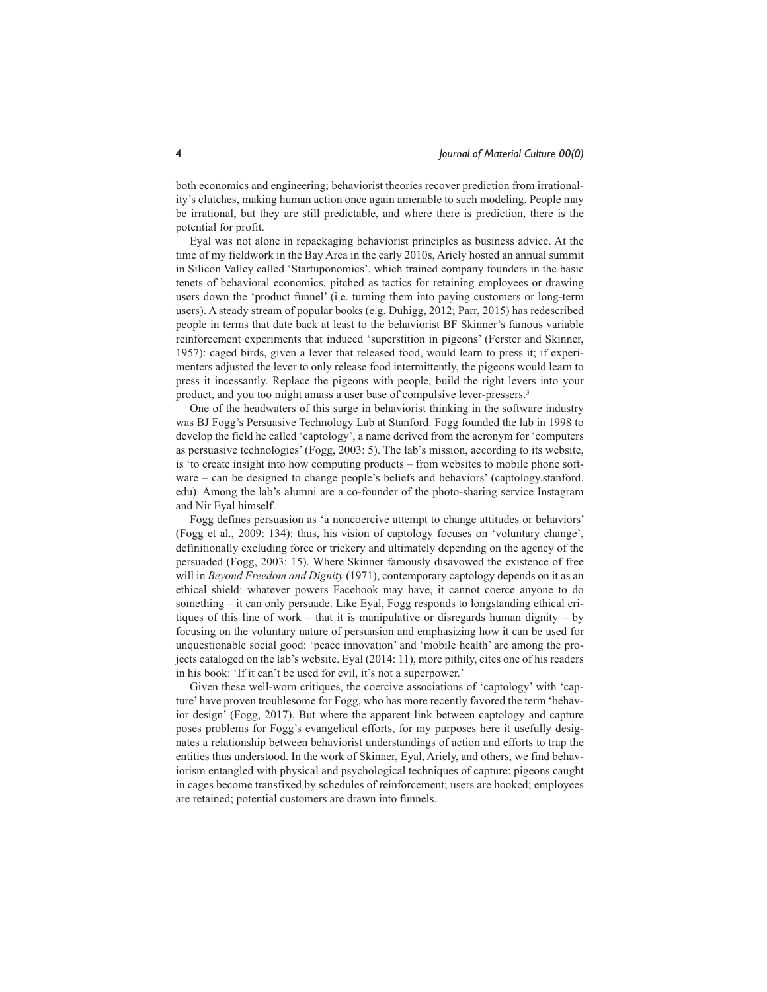both economics and engineering; behaviorist theories recover prediction from irrationality's clutches, making human action once again amenable to such modeling. People may be irrational, but they are still predictable, and where there is prediction, there is the potential for profit.

Eyal was not alone in repackaging behaviorist principles as business advice. At the time of my fieldwork in the Bay Area in the early 2010s, Ariely hosted an annual summit in Silicon Valley called 'Startuponomics', which trained company founders in the basic tenets of behavioral economics, pitched as tactics for retaining employees or drawing users down the 'product funnel' (i.e. turning them into paying customers or long-term users). A steady stream of popular books (e.g. Duhigg, 2012; Parr, 2015) has redescribed people in terms that date back at least to the behaviorist BF Skinner's famous variable reinforcement experiments that induced 'superstition in pigeons' (Ferster and Skinner, 1957): caged birds, given a lever that released food, would learn to press it; if experimenters adjusted the lever to only release food intermittently, the pigeons would learn to press it incessantly. Replace the pigeons with people, build the right levers into your product, and you too might amass a user base of compulsive lever-pressers.3

One of the headwaters of this surge in behaviorist thinking in the software industry was BJ Fogg's Persuasive Technology Lab at Stanford. Fogg founded the lab in 1998 to develop the field he called 'captology', a name derived from the acronym for 'computers as persuasive technologies' (Fogg, 2003: 5). The lab's mission, according to its website, is 'to create insight into how computing products – from websites to mobile phone software – can be designed to change people's beliefs and behaviors' (captology.stanford. edu). Among the lab's alumni are a co-founder of the photo-sharing service Instagram and Nir Eyal himself.

Fogg defines persuasion as 'a noncoercive attempt to change attitudes or behaviors' (Fogg et al., 2009: 134): thus, his vision of captology focuses on 'voluntary change', definitionally excluding force or trickery and ultimately depending on the agency of the persuaded (Fogg, 2003: 15). Where Skinner famously disavowed the existence of free will in *Beyond Freedom and Dignity* (1971), contemporary captology depends on it as an ethical shield: whatever powers Facebook may have, it cannot coerce anyone to do something – it can only persuade. Like Eyal, Fogg responds to longstanding ethical critiques of this line of work – that it is manipulative or disregards human dignity – by focusing on the voluntary nature of persuasion and emphasizing how it can be used for unquestionable social good: 'peace innovation' and 'mobile health' are among the projects cataloged on the lab's website. Eyal (2014: 11), more pithily, cites one of his readers in his book: 'If it can't be used for evil, it's not a superpower.'

Given these well-worn critiques, the coercive associations of 'captology' with 'capture' have proven troublesome for Fogg, who has more recently favored the term 'behavior design' (Fogg, 2017). But where the apparent link between captology and capture poses problems for Fogg's evangelical efforts, for my purposes here it usefully designates a relationship between behaviorist understandings of action and efforts to trap the entities thus understood. In the work of Skinner, Eyal, Ariely, and others, we find behaviorism entangled with physical and psychological techniques of capture: pigeons caught in cages become transfixed by schedules of reinforcement; users are hooked; employees are retained; potential customers are drawn into funnels.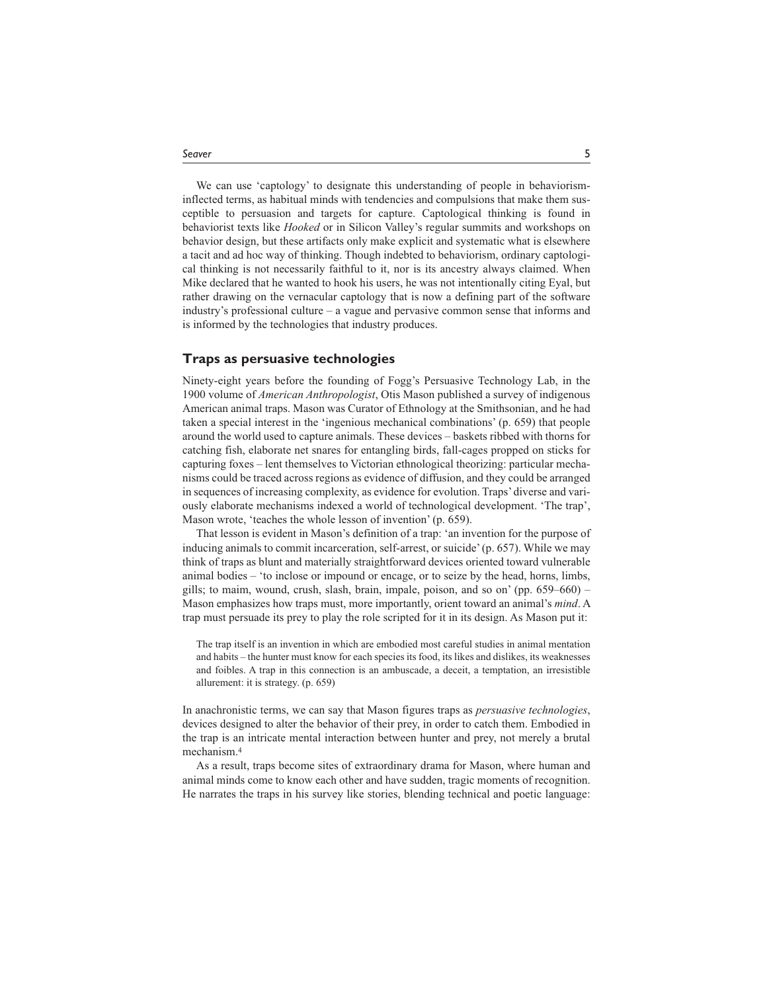#### **Seaver** 5

We can use 'captology' to designate this understanding of people in behaviorisminflected terms, as habitual minds with tendencies and compulsions that make them susceptible to persuasion and targets for capture. Captological thinking is found in behaviorist texts like *Hooked* or in Silicon Valley's regular summits and workshops on behavior design, but these artifacts only make explicit and systematic what is elsewhere a tacit and ad hoc way of thinking. Though indebted to behaviorism, ordinary captological thinking is not necessarily faithful to it, nor is its ancestry always claimed. When Mike declared that he wanted to hook his users, he was not intentionally citing Eyal, but rather drawing on the vernacular captology that is now a defining part of the software industry's professional culture – a vague and pervasive common sense that informs and is informed by the technologies that industry produces.

## **Traps as persuasive technologies**

Ninety-eight years before the founding of Fogg's Persuasive Technology Lab, in the 1900 volume of *American Anthropologist*, Otis Mason published a survey of indigenous American animal traps. Mason was Curator of Ethnology at the Smithsonian, and he had taken a special interest in the 'ingenious mechanical combinations' (p. 659) that people around the world used to capture animals. These devices – baskets ribbed with thorns for catching fish, elaborate net snares for entangling birds, fall-cages propped on sticks for capturing foxes – lent themselves to Victorian ethnological theorizing: particular mechanisms could be traced across regions as evidence of diffusion, and they could be arranged in sequences of increasing complexity, as evidence for evolution. Traps' diverse and variously elaborate mechanisms indexed a world of technological development. 'The trap', Mason wrote, 'teaches the whole lesson of invention' (p. 659).

That lesson is evident in Mason's definition of a trap: 'an invention for the purpose of inducing animals to commit incarceration, self-arrest, or suicide' (p. 657). While we may think of traps as blunt and materially straightforward devices oriented toward vulnerable animal bodies – 'to inclose or impound or encage, or to seize by the head, horns, limbs, gills; to maim, wound, crush, slash, brain, impale, poison, and so on' (pp. 659–660) – Mason emphasizes how traps must, more importantly, orient toward an animal's *mind*. A trap must persuade its prey to play the role scripted for it in its design. As Mason put it:

The trap itself is an invention in which are embodied most careful studies in animal mentation and habits – the hunter must know for each species its food, its likes and dislikes, its weaknesses and foibles. A trap in this connection is an ambuscade, a deceit, a temptation, an irresistible allurement: it is strategy. (p. 659)

In anachronistic terms, we can say that Mason figures traps as *persuasive technologies*, devices designed to alter the behavior of their prey, in order to catch them. Embodied in the trap is an intricate mental interaction between hunter and prey, not merely a brutal mechanism.4

As a result, traps become sites of extraordinary drama for Mason, where human and animal minds come to know each other and have sudden, tragic moments of recognition. He narrates the traps in his survey like stories, blending technical and poetic language: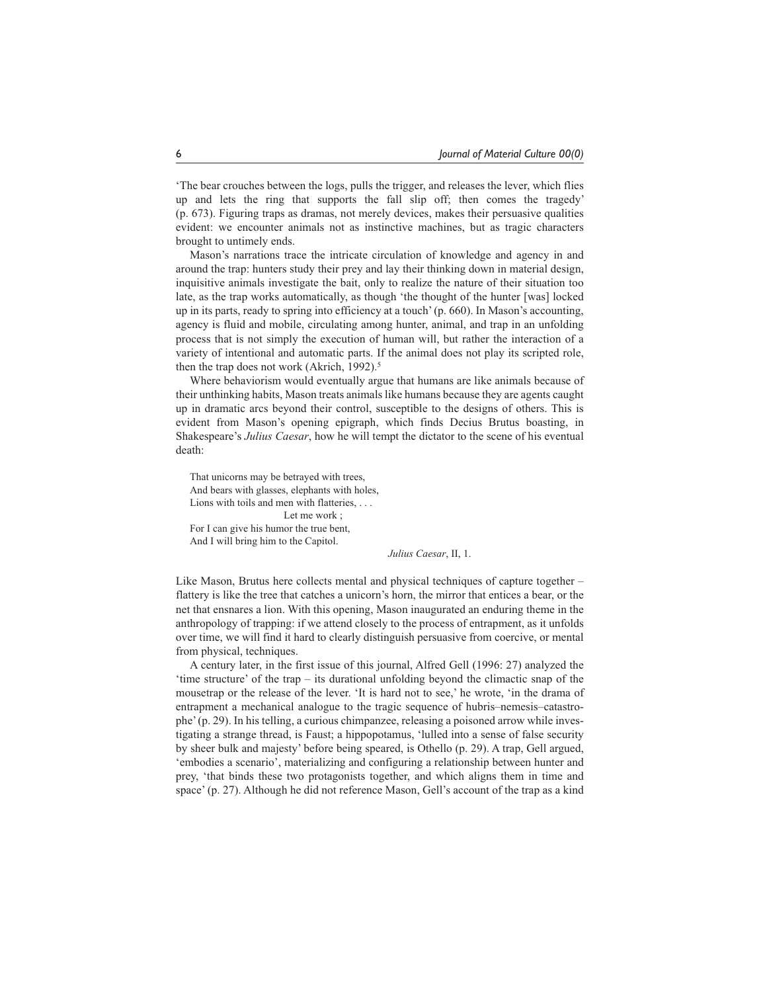'The bear crouches between the logs, pulls the trigger, and releases the lever, which flies up and lets the ring that supports the fall slip off; then comes the tragedy' (p. 673). Figuring traps as dramas, not merely devices, makes their persuasive qualities evident: we encounter animals not as instinctive machines, but as tragic characters brought to untimely ends.

Mason's narrations trace the intricate circulation of knowledge and agency in and around the trap: hunters study their prey and lay their thinking down in material design, inquisitive animals investigate the bait, only to realize the nature of their situation too late, as the trap works automatically, as though 'the thought of the hunter [was] locked up in its parts, ready to spring into efficiency at a touch' (p. 660). In Mason's accounting, agency is fluid and mobile, circulating among hunter, animal, and trap in an unfolding process that is not simply the execution of human will, but rather the interaction of a variety of intentional and automatic parts. If the animal does not play its scripted role, then the trap does not work (Akrich, 1992).<sup>5</sup>

Where behaviorism would eventually argue that humans are like animals because of their unthinking habits, Mason treats animals like humans because they are agents caught up in dramatic arcs beyond their control, susceptible to the designs of others. This is evident from Mason's opening epigraph, which finds Decius Brutus boasting, in Shakespeare's *Julius Caesar*, how he will tempt the dictator to the scene of his eventual death:

That unicorns may be betrayed with trees, And bears with glasses, elephants with holes, Lions with toils and men with flatteries, . . . Let me work ; For I can give his humor the true bent, And I will bring him to the Capitol.

*Julius Caesar*, II, 1.

Like Mason, Brutus here collects mental and physical techniques of capture together – flattery is like the tree that catches a unicorn's horn, the mirror that entices a bear, or the net that ensnares a lion. With this opening, Mason inaugurated an enduring theme in the anthropology of trapping: if we attend closely to the process of entrapment, as it unfolds over time, we will find it hard to clearly distinguish persuasive from coercive, or mental from physical, techniques.

A century later, in the first issue of this journal, Alfred Gell (1996: 27) analyzed the 'time structure' of the trap – its durational unfolding beyond the climactic snap of the mousetrap or the release of the lever. 'It is hard not to see,' he wrote, 'in the drama of entrapment a mechanical analogue to the tragic sequence of hubris–nemesis–catastrophe' (p. 29). In his telling, a curious chimpanzee, releasing a poisoned arrow while investigating a strange thread, is Faust; a hippopotamus, 'lulled into a sense of false security by sheer bulk and majesty' before being speared, is Othello (p. 29). A trap, Gell argued, 'embodies a scenario', materializing and configuring a relationship between hunter and prey, 'that binds these two protagonists together, and which aligns them in time and space' (p. 27). Although he did not reference Mason, Gell's account of the trap as a kind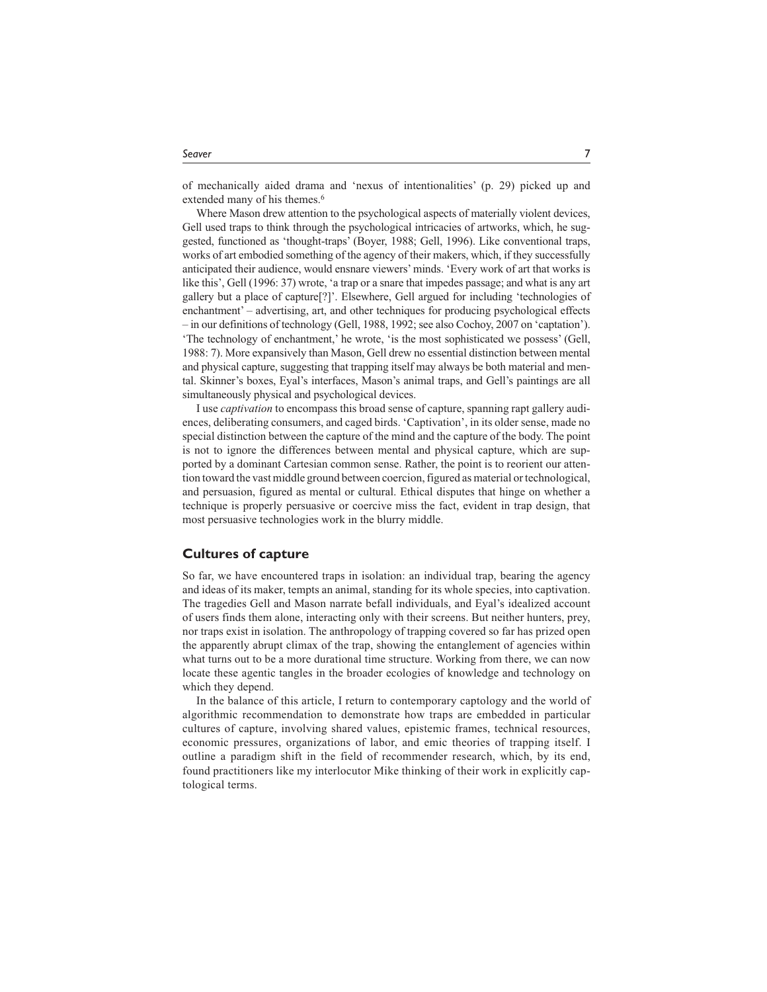of mechanically aided drama and 'nexus of intentionalities' (p. 29) picked up and extended many of his themes.<sup>6</sup>

Where Mason drew attention to the psychological aspects of materially violent devices, Gell used traps to think through the psychological intricacies of artworks, which, he suggested, functioned as 'thought-traps' (Boyer, 1988; Gell, 1996). Like conventional traps, works of art embodied something of the agency of their makers, which, if they successfully anticipated their audience, would ensnare viewers' minds. 'Every work of art that works is like this', Gell (1996: 37) wrote, 'a trap or a snare that impedes passage; and what is any art gallery but a place of capture[?]'. Elsewhere, Gell argued for including 'technologies of enchantment' – advertising, art, and other techniques for producing psychological effects – in our definitions of technology (Gell, 1988, 1992; see also Cochoy, 2007 on 'captation'). 'The technology of enchantment,' he wrote, 'is the most sophisticated we possess' (Gell, 1988: 7). More expansively than Mason, Gell drew no essential distinction between mental and physical capture, suggesting that trapping itself may always be both material and mental. Skinner's boxes, Eyal's interfaces, Mason's animal traps, and Gell's paintings are all simultaneously physical and psychological devices.

I use *captivation* to encompass this broad sense of capture, spanning rapt gallery audiences, deliberating consumers, and caged birds. 'Captivation', in its older sense, made no special distinction between the capture of the mind and the capture of the body. The point is not to ignore the differences between mental and physical capture, which are supported by a dominant Cartesian common sense. Rather, the point is to reorient our attention toward the vast middle ground between coercion, figured as material or technological, and persuasion, figured as mental or cultural. Ethical disputes that hinge on whether a technique is properly persuasive or coercive miss the fact, evident in trap design, that most persuasive technologies work in the blurry middle.

## **Cultures of capture**

So far, we have encountered traps in isolation: an individual trap, bearing the agency and ideas of its maker, tempts an animal, standing for its whole species, into captivation. The tragedies Gell and Mason narrate befall individuals, and Eyal's idealized account of users finds them alone, interacting only with their screens. But neither hunters, prey, nor traps exist in isolation. The anthropology of trapping covered so far has prized open the apparently abrupt climax of the trap, showing the entanglement of agencies within what turns out to be a more durational time structure. Working from there, we can now locate these agentic tangles in the broader ecologies of knowledge and technology on which they depend.

In the balance of this article, I return to contemporary captology and the world of algorithmic recommendation to demonstrate how traps are embedded in particular cultures of capture, involving shared values, epistemic frames, technical resources, economic pressures, organizations of labor, and emic theories of trapping itself. I outline a paradigm shift in the field of recommender research, which, by its end, found practitioners like my interlocutor Mike thinking of their work in explicitly captological terms.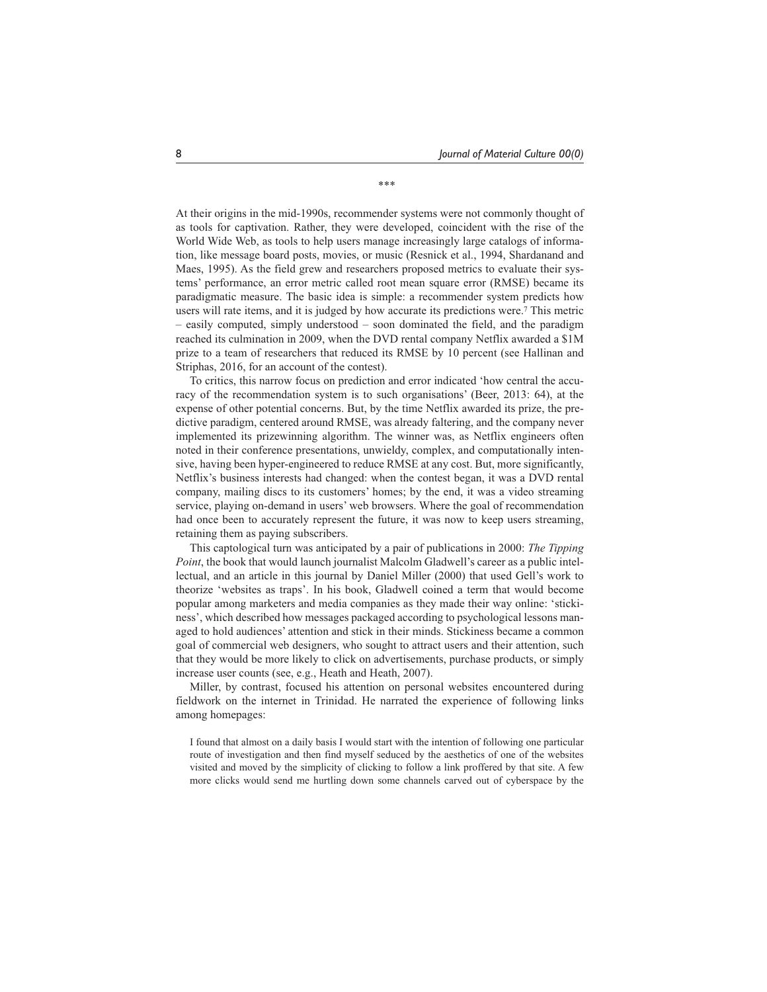\*\*\*

At their origins in the mid-1990s, recommender systems were not commonly thought of as tools for captivation. Rather, they were developed, coincident with the rise of the World Wide Web, as tools to help users manage increasingly large catalogs of information, like message board posts, movies, or music (Resnick et al., 1994, Shardanand and Maes, 1995). As the field grew and researchers proposed metrics to evaluate their systems' performance, an error metric called root mean square error (RMSE) became its paradigmatic measure. The basic idea is simple: a recommender system predicts how users will rate items, and it is judged by how accurate its predictions were.7 This metric – easily computed, simply understood – soon dominated the field, and the paradigm reached its culmination in 2009, when the DVD rental company Netflix awarded a \$1M prize to a team of researchers that reduced its RMSE by 10 percent (see Hallinan and Striphas, 2016, for an account of the contest).

To critics, this narrow focus on prediction and error indicated 'how central the accuracy of the recommendation system is to such organisations' (Beer, 2013: 64), at the expense of other potential concerns. But, by the time Netflix awarded its prize, the predictive paradigm, centered around RMSE, was already faltering, and the company never implemented its prizewinning algorithm. The winner was, as Netflix engineers often noted in their conference presentations, unwieldy, complex, and computationally intensive, having been hyper-engineered to reduce RMSE at any cost. But, more significantly, Netflix's business interests had changed: when the contest began, it was a DVD rental company, mailing discs to its customers' homes; by the end, it was a video streaming service, playing on-demand in users' web browsers. Where the goal of recommendation had once been to accurately represent the future, it was now to keep users streaming, retaining them as paying subscribers.

This captological turn was anticipated by a pair of publications in 2000: *The Tipping Point*, the book that would launch journalist Malcolm Gladwell's career as a public intellectual, and an article in this journal by Daniel Miller (2000) that used Gell's work to theorize 'websites as traps'. In his book, Gladwell coined a term that would become popular among marketers and media companies as they made their way online: 'stickiness', which described how messages packaged according to psychological lessons managed to hold audiences' attention and stick in their minds. Stickiness became a common goal of commercial web designers, who sought to attract users and their attention, such that they would be more likely to click on advertisements, purchase products, or simply increase user counts (see, e.g., Heath and Heath, 2007).

Miller, by contrast, focused his attention on personal websites encountered during fieldwork on the internet in Trinidad. He narrated the experience of following links among homepages:

I found that almost on a daily basis I would start with the intention of following one particular route of investigation and then find myself seduced by the aesthetics of one of the websites visited and moved by the simplicity of clicking to follow a link proffered by that site. A few more clicks would send me hurtling down some channels carved out of cyberspace by the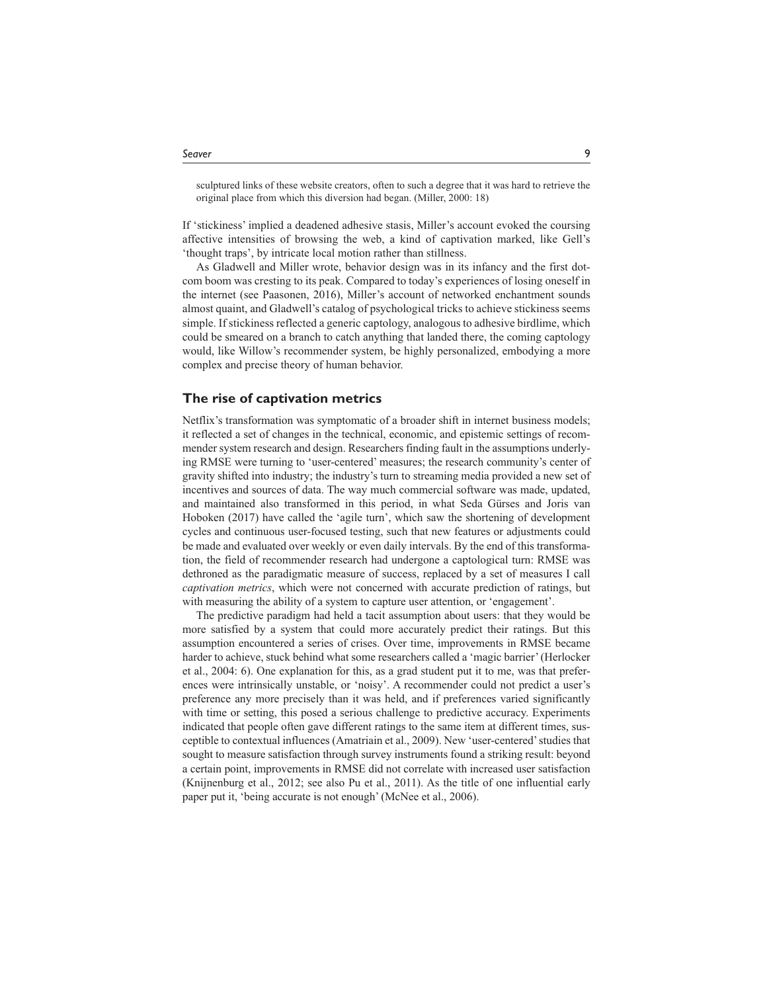sculptured links of these website creators, often to such a degree that it was hard to retrieve the original place from which this diversion had began. (Miller, 2000: 18)

If 'stickiness' implied a deadened adhesive stasis, Miller's account evoked the coursing affective intensities of browsing the web, a kind of captivation marked, like Gell's 'thought traps', by intricate local motion rather than stillness.

As Gladwell and Miller wrote, behavior design was in its infancy and the first dotcom boom was cresting to its peak. Compared to today's experiences of losing oneself in the internet (see Paasonen, 2016), Miller's account of networked enchantment sounds almost quaint, and Gladwell's catalog of psychological tricks to achieve stickiness seems simple. If stickiness reflected a generic captology, analogous to adhesive birdlime, which could be smeared on a branch to catch anything that landed there, the coming captology would, like Willow's recommender system, be highly personalized, embodying a more complex and precise theory of human behavior.

## **The rise of captivation metrics**

Netflix's transformation was symptomatic of a broader shift in internet business models; it reflected a set of changes in the technical, economic, and epistemic settings of recommender system research and design. Researchers finding fault in the assumptions underlying RMSE were turning to 'user-centered' measures; the research community's center of gravity shifted into industry; the industry's turn to streaming media provided a new set of incentives and sources of data. The way much commercial software was made, updated, and maintained also transformed in this period, in what Seda Gürses and Joris van Hoboken (2017) have called the 'agile turn', which saw the shortening of development cycles and continuous user-focused testing, such that new features or adjustments could be made and evaluated over weekly or even daily intervals. By the end of this transformation, the field of recommender research had undergone a captological turn: RMSE was dethroned as the paradigmatic measure of success, replaced by a set of measures I call *captivation metrics*, which were not concerned with accurate prediction of ratings, but with measuring the ability of a system to capture user attention, or 'engagement'.

The predictive paradigm had held a tacit assumption about users: that they would be more satisfied by a system that could more accurately predict their ratings. But this assumption encountered a series of crises. Over time, improvements in RMSE became harder to achieve, stuck behind what some researchers called a 'magic barrier' (Herlocker et al., 2004: 6). One explanation for this, as a grad student put it to me, was that preferences were intrinsically unstable, or 'noisy'. A recommender could not predict a user's preference any more precisely than it was held, and if preferences varied significantly with time or setting, this posed a serious challenge to predictive accuracy. Experiments indicated that people often gave different ratings to the same item at different times, susceptible to contextual influences (Amatriain et al., 2009). New 'user-centered' studies that sought to measure satisfaction through survey instruments found a striking result: beyond a certain point, improvements in RMSE did not correlate with increased user satisfaction (Knijnenburg et al., 2012; see also Pu et al., 2011). As the title of one influential early paper put it, 'being accurate is not enough' (McNee et al., 2006).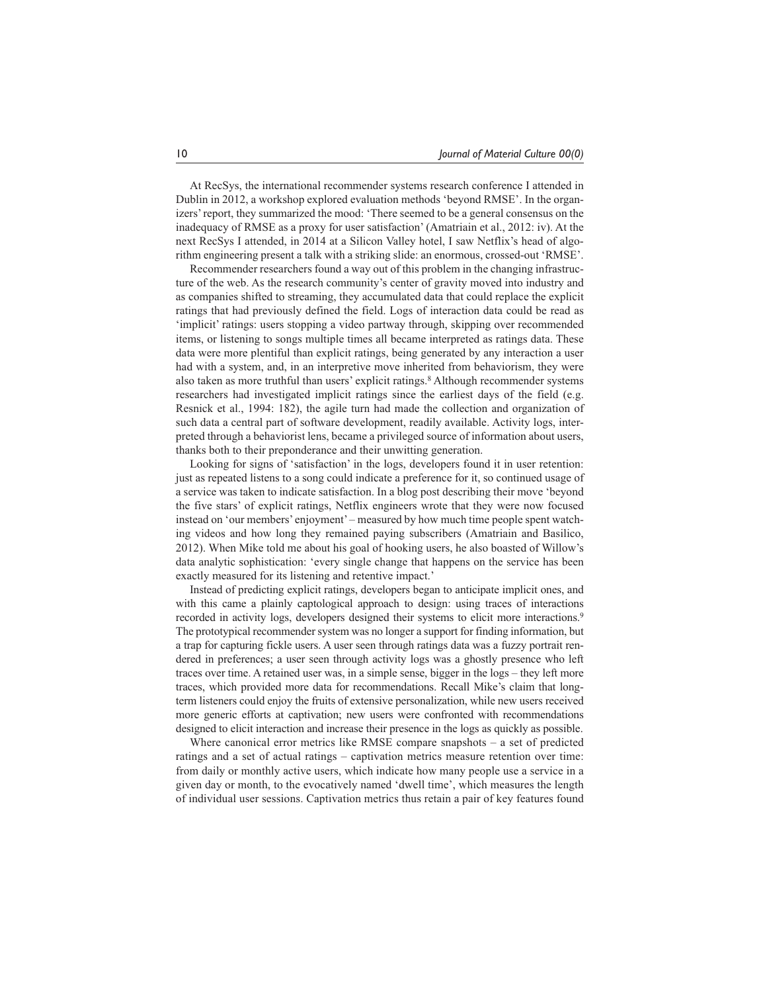At RecSys, the international recommender systems research conference I attended in Dublin in 2012, a workshop explored evaluation methods 'beyond RMSE'. In the organizers' report, they summarized the mood: 'There seemed to be a general consensus on the inadequacy of RMSE as a proxy for user satisfaction' (Amatriain et al., 2012: iv). At the next RecSys I attended, in 2014 at a Silicon Valley hotel, I saw Netflix's head of algorithm engineering present a talk with a striking slide: an enormous, crossed-out 'RMSE'.

Recommender researchers found a way out of this problem in the changing infrastructure of the web. As the research community's center of gravity moved into industry and as companies shifted to streaming, they accumulated data that could replace the explicit ratings that had previously defined the field. Logs of interaction data could be read as 'implicit' ratings: users stopping a video partway through, skipping over recommended items, or listening to songs multiple times all became interpreted as ratings data. These data were more plentiful than explicit ratings, being generated by any interaction a user had with a system, and, in an interpretive move inherited from behaviorism, they were also taken as more truthful than users' explicit ratings.<sup>8</sup> Although recommender systems researchers had investigated implicit ratings since the earliest days of the field (e.g. Resnick et al., 1994: 182), the agile turn had made the collection and organization of such data a central part of software development, readily available. Activity logs, interpreted through a behaviorist lens, became a privileged source of information about users, thanks both to their preponderance and their unwitting generation.

Looking for signs of 'satisfaction' in the logs, developers found it in user retention: just as repeated listens to a song could indicate a preference for it, so continued usage of a service was taken to indicate satisfaction. In a blog post describing their move 'beyond the five stars' of explicit ratings, Netflix engineers wrote that they were now focused instead on 'our members' enjoyment' – measured by how much time people spent watching videos and how long they remained paying subscribers (Amatriain and Basilico, 2012). When Mike told me about his goal of hooking users, he also boasted of Willow's data analytic sophistication: 'every single change that happens on the service has been exactly measured for its listening and retentive impact.'

Instead of predicting explicit ratings, developers began to anticipate implicit ones, and with this came a plainly captological approach to design: using traces of interactions recorded in activity logs, developers designed their systems to elicit more interactions.9 The prototypical recommender system was no longer a support for finding information, but a trap for capturing fickle users. A user seen through ratings data was a fuzzy portrait rendered in preferences; a user seen through activity logs was a ghostly presence who left traces over time. A retained user was, in a simple sense, bigger in the logs – they left more traces, which provided more data for recommendations. Recall Mike's claim that longterm listeners could enjoy the fruits of extensive personalization, while new users received more generic efforts at captivation; new users were confronted with recommendations designed to elicit interaction and increase their presence in the logs as quickly as possible.

Where canonical error metrics like RMSE compare snapshots – a set of predicted ratings and a set of actual ratings – captivation metrics measure retention over time: from daily or monthly active users, which indicate how many people use a service in a given day or month, to the evocatively named 'dwell time', which measures the length of individual user sessions. Captivation metrics thus retain a pair of key features found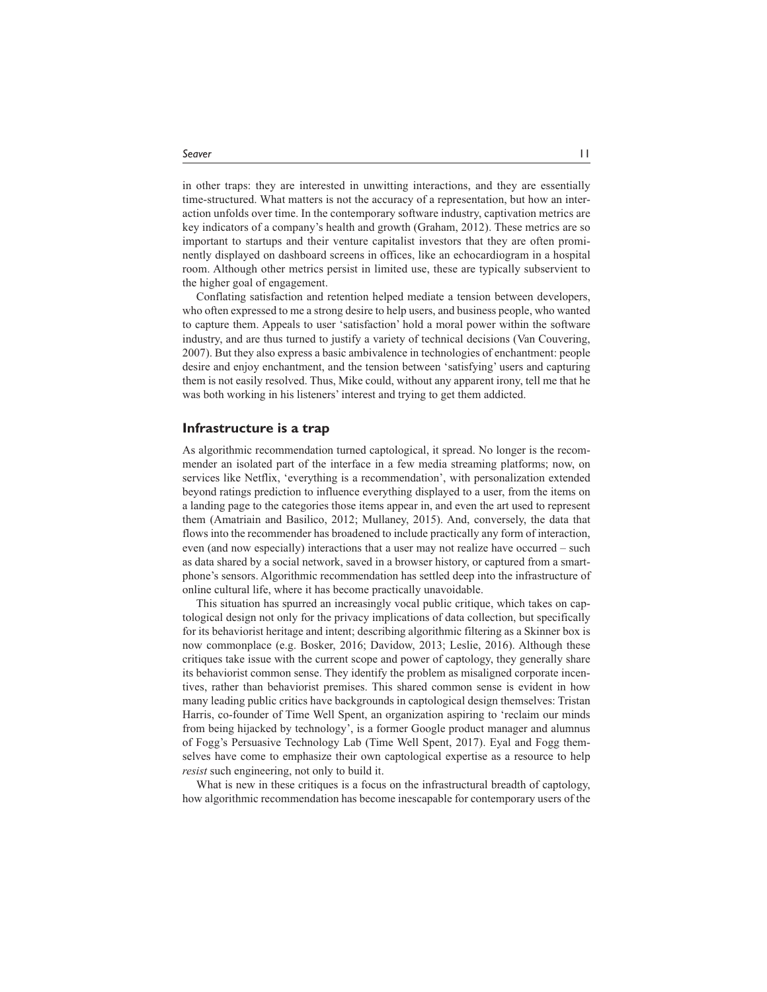in other traps: they are interested in unwitting interactions, and they are essentially time-structured. What matters is not the accuracy of a representation, but how an interaction unfolds over time. In the contemporary software industry, captivation metrics are key indicators of a company's health and growth (Graham, 2012). These metrics are so important to startups and their venture capitalist investors that they are often prominently displayed on dashboard screens in offices, like an echocardiogram in a hospital room. Although other metrics persist in limited use, these are typically subservient to the higher goal of engagement.

Conflating satisfaction and retention helped mediate a tension between developers, who often expressed to me a strong desire to help users, and business people, who wanted to capture them. Appeals to user 'satisfaction' hold a moral power within the software industry, and are thus turned to justify a variety of technical decisions (Van Couvering, 2007). But they also express a basic ambivalence in technologies of enchantment: people desire and enjoy enchantment, and the tension between 'satisfying' users and capturing them is not easily resolved. Thus, Mike could, without any apparent irony, tell me that he was both working in his listeners' interest and trying to get them addicted.

#### **Infrastructure is a trap**

As algorithmic recommendation turned captological, it spread. No longer is the recommender an isolated part of the interface in a few media streaming platforms; now, on services like Netflix, 'everything is a recommendation', with personalization extended beyond ratings prediction to influence everything displayed to a user, from the items on a landing page to the categories those items appear in, and even the art used to represent them (Amatriain and Basilico, 2012; Mullaney, 2015). And, conversely, the data that flows into the recommender has broadened to include practically any form of interaction, even (and now especially) interactions that a user may not realize have occurred – such as data shared by a social network, saved in a browser history, or captured from a smartphone's sensors. Algorithmic recommendation has settled deep into the infrastructure of online cultural life, where it has become practically unavoidable.

This situation has spurred an increasingly vocal public critique, which takes on captological design not only for the privacy implications of data collection, but specifically for its behaviorist heritage and intent; describing algorithmic filtering as a Skinner box is now commonplace (e.g. Bosker, 2016; Davidow, 2013; Leslie, 2016). Although these critiques take issue with the current scope and power of captology, they generally share its behaviorist common sense. They identify the problem as misaligned corporate incentives, rather than behaviorist premises. This shared common sense is evident in how many leading public critics have backgrounds in captological design themselves: Tristan Harris, co-founder of Time Well Spent, an organization aspiring to 'reclaim our minds from being hijacked by technology', is a former Google product manager and alumnus of Fogg's Persuasive Technology Lab (Time Well Spent, 2017). Eyal and Fogg themselves have come to emphasize their own captological expertise as a resource to help *resist* such engineering, not only to build it.

What is new in these critiques is a focus on the infrastructural breadth of captology, how algorithmic recommendation has become inescapable for contemporary users of the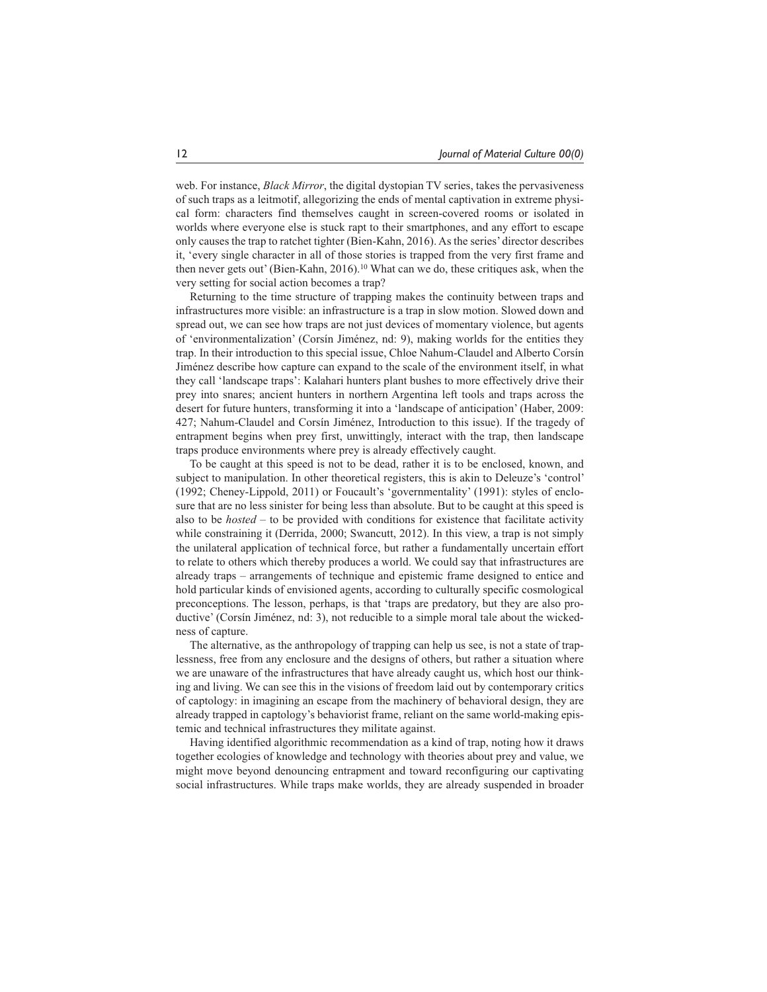web. For instance, *Black Mirror*, the digital dystopian TV series, takes the pervasiveness of such traps as a leitmotif, allegorizing the ends of mental captivation in extreme physical form: characters find themselves caught in screen-covered rooms or isolated in worlds where everyone else is stuck rapt to their smartphones, and any effort to escape only causes the trap to ratchet tighter (Bien-Kahn, 2016). As the series' director describes it, 'every single character in all of those stories is trapped from the very first frame and then never gets out' (Bien-Kahn, 2016).<sup>10</sup> What can we do, these critiques ask, when the very setting for social action becomes a trap?

Returning to the time structure of trapping makes the continuity between traps and infrastructures more visible: an infrastructure is a trap in slow motion. Slowed down and spread out, we can see how traps are not just devices of momentary violence, but agents of 'environmentalization' (Corsín Jiménez, nd: 9), making worlds for the entities they trap. In their introduction to this special issue, Chloe Nahum-Claudel and Alberto Corsín Jiménez describe how capture can expand to the scale of the environment itself, in what they call 'landscape traps': Kalahari hunters plant bushes to more effectively drive their prey into snares; ancient hunters in northern Argentina left tools and traps across the desert for future hunters, transforming it into a 'landscape of anticipation' (Haber, 2009: 427; Nahum-Claudel and Corsín Jiménez, Introduction to this issue). If the tragedy of entrapment begins when prey first, unwittingly, interact with the trap, then landscape traps produce environments where prey is already effectively caught.

To be caught at this speed is not to be dead, rather it is to be enclosed, known, and subject to manipulation. In other theoretical registers, this is akin to Deleuze's 'control' (1992; Cheney-Lippold, 2011) or Foucault's 'governmentality' (1991): styles of enclosure that are no less sinister for being less than absolute. But to be caught at this speed is also to be *hosted* – to be provided with conditions for existence that facilitate activity while constraining it (Derrida, 2000; Swancutt, 2012). In this view, a trap is not simply the unilateral application of technical force, but rather a fundamentally uncertain effort to relate to others which thereby produces a world. We could say that infrastructures are already traps – arrangements of technique and epistemic frame designed to entice and hold particular kinds of envisioned agents, according to culturally specific cosmological preconceptions. The lesson, perhaps, is that 'traps are predatory, but they are also productive' (Corsín Jiménez, nd: 3), not reducible to a simple moral tale about the wickedness of capture.

The alternative, as the anthropology of trapping can help us see, is not a state of traplessness, free from any enclosure and the designs of others, but rather a situation where we are unaware of the infrastructures that have already caught us, which host our thinking and living. We can see this in the visions of freedom laid out by contemporary critics of captology: in imagining an escape from the machinery of behavioral design, they are already trapped in captology's behaviorist frame, reliant on the same world-making epistemic and technical infrastructures they militate against.

Having identified algorithmic recommendation as a kind of trap, noting how it draws together ecologies of knowledge and technology with theories about prey and value, we might move beyond denouncing entrapment and toward reconfiguring our captivating social infrastructures. While traps make worlds, they are already suspended in broader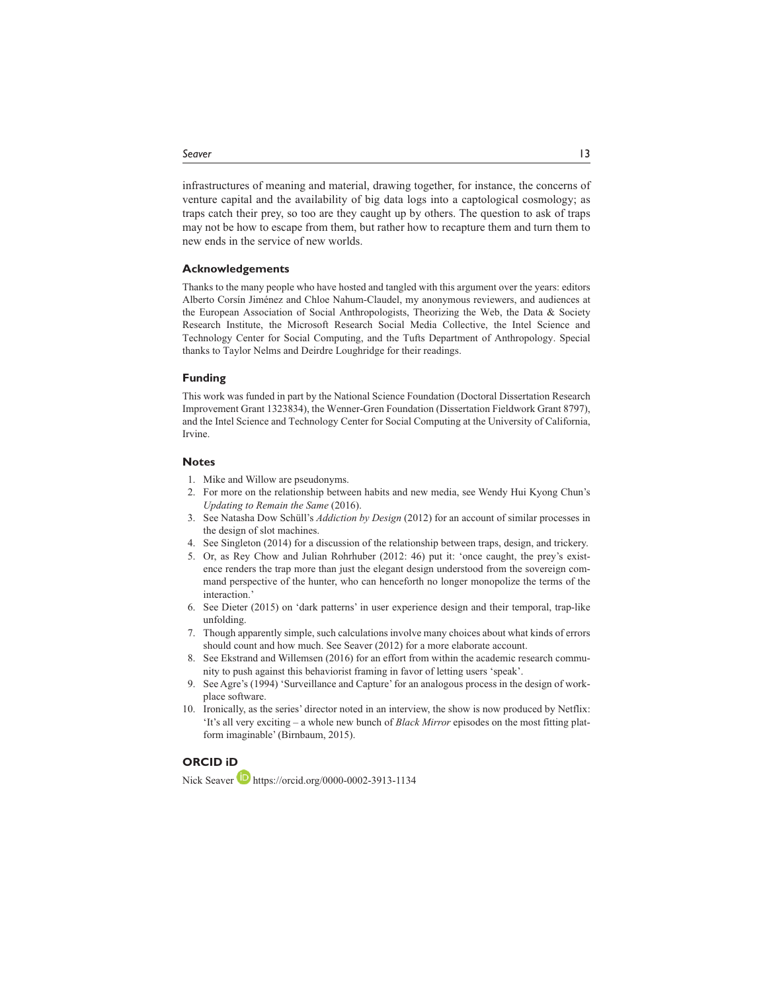infrastructures of meaning and material, drawing together, for instance, the concerns of venture capital and the availability of big data logs into a captological cosmology; as traps catch their prey, so too are they caught up by others. The question to ask of traps may not be how to escape from them, but rather how to recapture them and turn them to new ends in the service of new worlds.

#### **Acknowledgements**

Thanks to the many people who have hosted and tangled with this argument over the years: editors Alberto Corsín Jiménez and Chloe Nahum-Claudel, my anonymous reviewers, and audiences at the European Association of Social Anthropologists, Theorizing the Web, the Data & Society Research Institute, the Microsoft Research Social Media Collective, the Intel Science and Technology Center for Social Computing, and the Tufts Department of Anthropology. Special thanks to Taylor Nelms and Deirdre Loughridge for their readings.

## **Funding**

This work was funded in part by the National Science Foundation (Doctoral Dissertation Research Improvement Grant 1323834), the Wenner-Gren Foundation (Dissertation Fieldwork Grant 8797), and the Intel Science and Technology Center for Social Computing at the University of California, Irvine.

#### **Notes**

- 1. Mike and Willow are pseudonyms.
- 2. For more on the relationship between habits and new media, see Wendy Hui Kyong Chun's *Updating to Remain the Same* (2016).
- 3. See Natasha Dow Schüll's *Addiction by Design* (2012) for an account of similar processes in the design of slot machines.
- 4. See Singleton (2014) for a discussion of the relationship between traps, design, and trickery.
- 5. Or, as Rey Chow and Julian Rohrhuber (2012: 46) put it: 'once caught, the prey's existence renders the trap more than just the elegant design understood from the sovereign command perspective of the hunter, who can henceforth no longer monopolize the terms of the interaction.'
- 6. See Dieter (2015) on 'dark patterns' in user experience design and their temporal, trap-like unfolding.
- 7. Though apparently simple, such calculations involve many choices about what kinds of errors should count and how much. See Seaver (2012) for a more elaborate account.
- 8. See Ekstrand and Willemsen (2016) for an effort from within the academic research community to push against this behaviorist framing in favor of letting users 'speak'.
- 9. See Agre's (1994) 'Surveillance and Capture' for an analogous process in the design of workplace software.
- 10. Ironically, as the series' director noted in an interview, the show is now produced by Netflix: 'It's all very exciting – a whole new bunch of *Black Mirror* episodes on the most fitting platform imaginable' (Birnbaum, 2015).

## **ORCID iD**

Nick Seaver <https://orcid.org/0000-0002-3913-1134>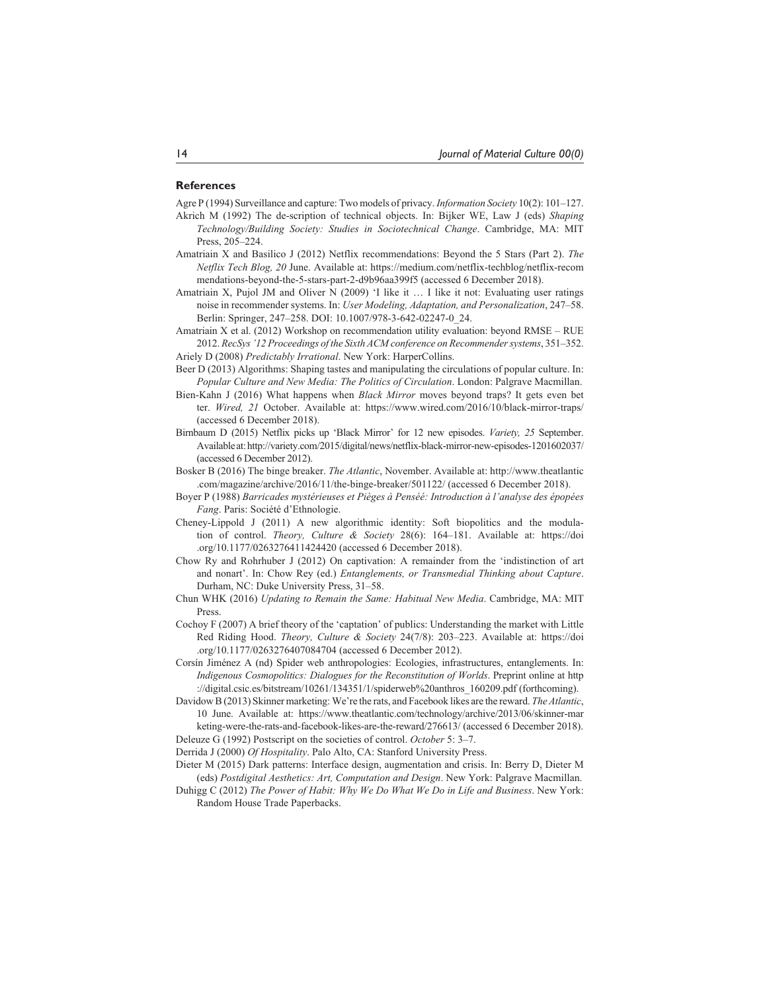#### **References**

Agre P (1994) Surveillance and capture: Two models of privacy. *Information Society* 10(2): 101–127.

- Akrich M (1992) The de-scription of technical objects. In: Bijker WE, Law J (eds) *Shaping Technology/Building Society: Studies in Sociotechnical Change*. Cambridge, MA: MIT Press, 205–224.
- Amatriain X and Basilico J (2012) Netflix recommendations: Beyond the 5 Stars (Part 2). *The Netflix Tech Blog, 20* June. Available at: [https://medium.com/netflix-techblog/netflix-recom](https://medium.com/netflix-techblog/netflix-recommendations-beyond-the-5-stars-part-2-d9b96aa399f5) [mendations-beyond-the-5-stars-part-2-d9b96aa399f5](https://medium.com/netflix-techblog/netflix-recommendations-beyond-the-5-stars-part-2-d9b96aa399f5) (accessed 6 December 2018).
- Amatriain X, Pujol JM and Oliver N (2009) 'I like it … I like it not: Evaluating user ratings noise in recommender systems. In: *User Modeling, Adaptation, and Personalization*, 247–58. Berlin: Springer, 247–258. DOI: 10.1007/978-3-642-02247-0\_24.
- Amatriain X et al. (2012) Workshop on recommendation utility evaluation: beyond RMSE RUE 2012. *RecSys '12 Proceedings of the Sixth ACM conference on Recommender systems*, 351–352.
- Ariely D (2008) *Predictably Irrational*. New York: HarperCollins.
- Beer D (2013) Algorithms: Shaping tastes and manipulating the circulations of popular culture. In: *Popular Culture and New Media: The Politics of Circulation*. London: Palgrave Macmillan.
- Bien-Kahn J (2016) What happens when *Black Mirror* moves beyond traps? It gets even bet ter. *Wired, 21* October. Available at: <https://www.wired.com/2016/10/black-mirror-traps/> (accessed 6 December 2018).
- Birnbaum D (2015) Netflix picks up 'Black Mirror' for 12 new episodes. *Variety, 25* September. Available at:<http://variety.com/2015/digital/news/netflix-black-mirror-new-episodes-1201602037/> (accessed 6 December 2012).
- Bosker B (2016) The binge breaker. *The Atlantic*, November. Available at: [http://www.theatlantic](http://www.theatlantic.com/magazine/archive/2016/11/the-binge-breaker/501122/) [.com/magazine/archive/2016/11/the-binge-breaker/501122/](http://www.theatlantic.com/magazine/archive/2016/11/the-binge-breaker/501122/) (accessed 6 December 2018).
- Boyer P (1988) *Barricades mystérieuses et Pièges à Penséé: Introduction à l'analyse des épopées Fang*. Paris: Société d'Ethnologie.
- Cheney-Lippold J (2011) A new algorithmic identity: Soft biopolitics and the modulation of control. *Theory, Culture & Society* 28(6): 164–181. Available at: [https://doi](https://doi.org/10.1177/0263276411424420) [.org/10.1177/0263276411424420](https://doi.org/10.1177/0263276411424420) (accessed 6 December 2018).
- Chow Ry and Rohrhuber J (2012) On captivation: A remainder from the 'indistinction of art and nonart'. In: Chow Rey (ed.) *Entanglements, or Transmedial Thinking about Capture*. Durham, NC: Duke University Press, 31–58.
- Chun WHK (2016) *Updating to Remain the Same: Habitual New Media*. Cambridge, MA: MIT Press.
- Cochoy F (2007) A brief theory of the 'captation' of publics: Understanding the market with Little Red Riding Hood. *Theory, Culture & Society* 24(7/8): 203–223. Available at: [https://doi](https://doi.org/10.1177/0263276407084704) [.org/10.1177/0263276407084704](https://doi.org/10.1177/0263276407084704) (accessed 6 December 2012).
- Corsín Jiménez A (nd) Spider web anthropologies: Ecologies, infrastructures, entanglements. In: *Indigenous Cosmopolitics: Dialogues for the Reconstitution of Worlds*. Preprint online at http ://digital.csic.es/bitstream/10261/134351/1/spiderweb%20anthros\_160209.pdf (forthcoming).
- Davidow B (2013) Skinner marketing: We're the rats, and Facebook likes are the reward. *The Atlantic*, 10 June. Available at: <https://www.theatlantic.com/technology/archive/2013/06/skinner-mar> keting-were-the-rats-and-facebook-likes-are-the-reward/276613/ (accessed 6 December 2018).
- Deleuze G (1992) Postscript on the societies of control. *October* 5: 3–7.
- Derrida J (2000) *Of Hospitality*. Palo Alto, CA: Stanford University Press.
- Dieter M (2015) Dark patterns: Interface design, augmentation and crisis. In: Berry D, Dieter M (eds) *Postdigital Aesthetics: Art, Computation and Design*. New York: Palgrave Macmillan.
- Duhigg C (2012) *The Power of Habit: Why We Do What We Do in Life and Business*. New York: Random House Trade Paperbacks.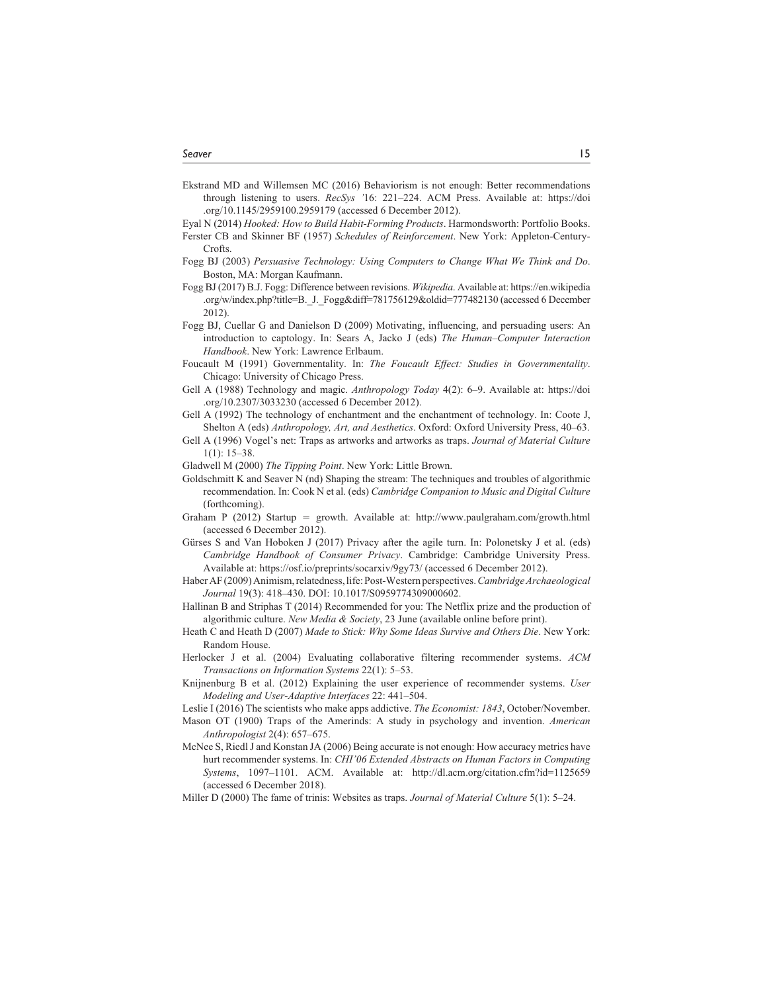- Ekstrand MD and Willemsen MC (2016) Behaviorism is not enough: Better recommendations through listening to users. *RecSys '*16: 221–224. ACM Press. Available at: [https://doi](https://doi.org/10.1145/2959100.2959179) [.org/10.1145/2959100.2959179](https://doi.org/10.1145/2959100.2959179) (accessed 6 December 2012).
- Eyal N (2014) *Hooked: How to Build Habit-Forming Products*. Harmondsworth: Portfolio Books. Ferster CB and Skinner BF (1957) *Schedules of Reinforcement*. New York: Appleton-Century-Crofts.
- Fogg BJ (2003) *Persuasive Technology: Using Computers to Change What We Think and Do*. Boston, MA: Morgan Kaufmann.
- Fogg BJ (2017) B.J. Fogg: Difference between revisions. *Wikipedia*. Available at: [https://en.wikipedia](https://en.wikipedia.org/w/index.php?title=B._J._Fogg&diff=781756129&oldid=777482130) [.org/w/index.php?title=B.\\_J.\\_Fogg&diff=781756129&oldid=777482130](https://en.wikipedia.org/w/index.php?title=B._J._Fogg&diff=781756129&oldid=777482130) (accessed 6 December 2012).
- Fogg BJ, Cuellar G and Danielson D (2009) Motivating, influencing, and persuading users: An introduction to captology. In: Sears A, Jacko J (eds) *The Human–Computer Interaction Handbook*. New York: Lawrence Erlbaum.
- Foucault M (1991) Governmentality. In: *The Foucault Effect: Studies in Governmentality*. Chicago: University of Chicago Press.
- Gell A (1988) Technology and magic. *Anthropology Today* 4(2): 6–9. Available at: [https://doi](https://doi.org/10.2307/3033230) [.org/10.2307/3033230](https://doi.org/10.2307/3033230) (accessed 6 December 2012).
- Gell A (1992) The technology of enchantment and the enchantment of technology. In: Coote J, Shelton A (eds) *Anthropology, Art, and Aesthetics*. Oxford: Oxford University Press, 40–63.
- Gell A (1996) Vogel's net: Traps as artworks and artworks as traps. *Journal of Material Culture* 1(1): 15–38.
- Gladwell M (2000) *The Tipping Point*. New York: Little Brown.
- Goldschmitt K and Seaver N (nd) Shaping the stream: The techniques and troubles of algorithmic recommendation. In: Cook N et al. (eds) *Cambridge Companion to Music and Digital Culture* (forthcoming).
- Graham P (2012) Startup = growth. Available at: <http://www.paulgraham.com/growth.html> (accessed 6 December 2012).
- Gürses S and Van Hoboken J (2017) Privacy after the agile turn. In: Polonetsky J et al. (eds) *Cambridge Handbook of Consumer Privacy*. Cambridge: Cambridge University Press. Available at:<https://osf.io/preprints/socarxiv/9gy73/> (accessed 6 December 2012).
- Haber AF (2009) Animism, relatedness, life: Post-Western perspectives. *Cambridge Archaeological Journal* 19(3): 418–430. DOI: 10.1017/S0959774309000602.
- Hallinan B and Striphas T (2014) Recommended for you: The Netflix prize and the production of algorithmic culture. *New Media & Society*, 23 June (available online before print).
- Heath C and Heath D (2007) *Made to Stick: Why Some Ideas Survive and Others Die*. New York: Random House.
- Herlocker J et al. (2004) Evaluating collaborative filtering recommender systems. *ACM Transactions on Information Systems* 22(1): 5–53.
- Knijnenburg B et al. (2012) Explaining the user experience of recommender systems. *User Modeling and User-Adaptive Interfaces* 22: 441–504.
- Leslie I (2016) The scientists who make apps addictive. *The Economist: 1843*, October/November.
- Mason OT (1900) Traps of the Amerinds: A study in psychology and invention. *American Anthropologist* 2(4): 657–675.
- McNee S, Riedl J and Konstan JA (2006) Being accurate is not enough: How accuracy metrics have hurt recommender systems. In: *CHI'06 Extended Abstracts on Human Factors in Computing Systems*, 1097–1101. ACM. Available at: <http://dl.acm.org/citation.cfm?id=1125659> (accessed 6 December 2018).
- Miller D (2000) The fame of trinis: Websites as traps. *Journal of Material Culture* 5(1): 5–24.